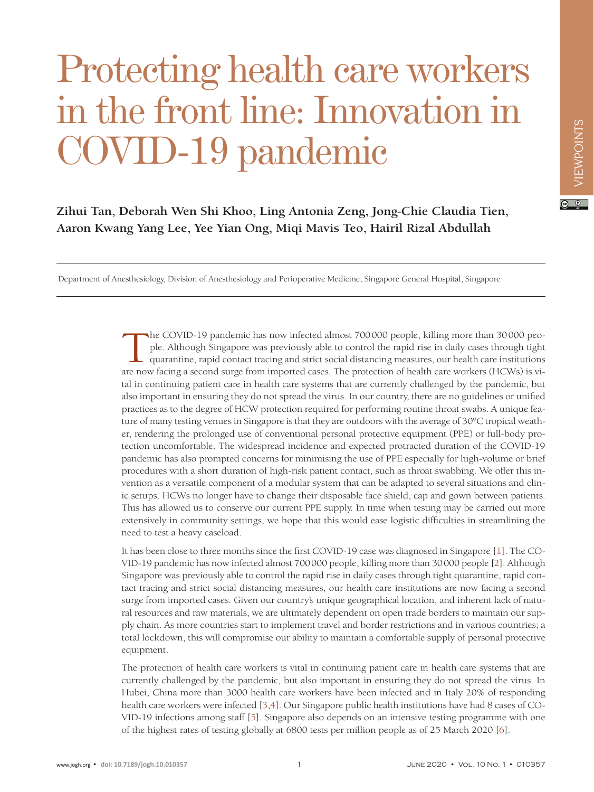## Protecting health care workers in the front line: Innovation in COVID-19 pandemic

**Zihui Tan, Deborah Wen Shi Khoo, Ling Antonia Zeng, Jong-Chie Claudia Tien, Aaron Kwang Yang Lee, Yee Yian Ong, Miqi Mavis Teo, Hairil Rizal Abdullah**

Department of Anesthesiology, Division of Anesthesiology and Perioperative Medicine, Singapore General Hospital, Singapore

The COVID-19 pandemic has now infected almost 700000 people, killing more than 30000 people. Although Singapore was previously able to control the rapid rise in daily cases through tight quarantine, rapid contact tracing a ple. Although Singapore was previously able to control the rapid rise in daily cases through tight quarantine, rapid contact tracing and strict social distancing measures, our health care institutions are now facing a second surge from imported cases. The protection of health care workers (HCWs) is vital in continuing patient care in health care systems that are currently challenged by the pandemic, but also important in ensuring they do not spread the virus. In our country, there are no guidelines or unified practices as to the degree of HCW protection required for performing routine throat swabs. A unique feature of many testing venues in Singapore is that they are outdoors with the average of 30°C tropical weather, rendering the prolonged use of conventional personal protective equipment (PPE) or full-body protection uncomfortable. The widespread incidence and expected protracted duration of the COVID-19 pandemic has also prompted concerns for minimising the use of PPE especially for high-volume or brief procedures with a short duration of high-risk patient contact, such as throat swabbing. We offer this invention as a versatile component of a modular system that can be adapted to several situations and clinic setups. HCWs no longer have to change their disposable face shield, cap and gown between patients. This has allowed us to conserve our current PPE supply. In time when testing may be carried out more extensively in community settings, we hope that this would ease logistic difficulties in streamlining the need to test a heavy caseload.

It has been close to three months since the first COVID-19 case was diagnosed in Singapore [[1\]](#page-3-0). The CO-VID-19 pandemic has now infected almost 700000 people, killing more than 30000 people [[2\]](#page-3-1). Although Singapore was previously able to control the rapid rise in daily cases through tight quarantine, rapid contact tracing and strict social distancing measures, our health care institutions are now facing a second surge from imported cases. Given our country's unique geographical location, and inherent lack of natural resources and raw materials, we are ultimately dependent on open trade borders to maintain our supply chain. As more countries start to implement travel and border restrictions and in various countries; a total lockdown, this will compromise our ability to maintain a comfortable supply of personal protective equipment.

The protection of health care workers is vital in continuing patient care in health care systems that are currently challenged by the pandemic, but also important in ensuring they do not spread the virus. In Hubei, China more than 3000 health care workers have been infected and in Italy 20% of responding health care workers were infected [[3](#page-3-2)[,4](#page-3-3)]. Our Singapore public health institutions have had 8 cases of CO-VID-19 infections among staff [[5\]](#page-3-4). Singapore also depends on an intensive testing programme with one of the highest rates of testing globally at 6800 tests per million people as of 25 March 2020 [[6\]](#page-3-5).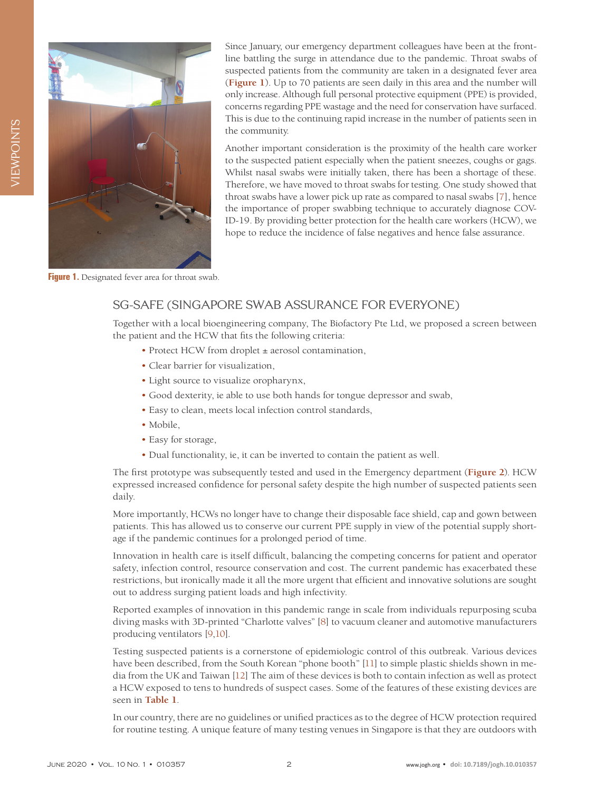<span id="page-1-0"></span>

Since January, our emergency department colleagues have been at the frontline battling the surge in attendance due to the pandemic. Throat swabs of suspected patients from the community are taken in a designated fever area (**[Figure](#page-1-0) 1**). Up to 70 patients are seen daily in this area and the number will only increase. Although full personal protective equipment (PPE) is provided, concerns regarding PPE wastage and the need for conservation have surfaced. This is due to the continuing rapid increase in the number of patients seen in the community.

Another important consideration is the proximity of the health care worker to the suspected patient especially when the patient sneezes, coughs or gags. Whilst nasal swabs were initially taken, there has been a shortage of these. Therefore, we have moved to throat swabs for testing. One study showed that throat swabs have a lower pick up rate as compared to nasal swabs [[7\]](#page-3-6), hence the importance of proper swabbing technique to accurately diagnose COV-ID-19. By providing better protection for the health care workers (HCW), we hope to reduce the incidence of false negatives and hence false assurance.

**Figure 1.** Designated fever area for throat swab.

## SG-SAFE (SINGAPORE SWAB ASSURANCE FOR EVERYONE)

Together with a local bioengineering company, The Biofactory Pte Ltd, we proposed a screen between the patient and the HCW that fits the following criteria:

- Protect HCW from droplet  $\pm$  aerosol contamination,
- Clear barrier for visualization,
- Light source to visualize oropharynx,
- Good dexterity, ie able to use both hands for tongue depressor and swab,
- Easy to clean, meets local infection control standards,
- Mobile,
- Easy for storage,
- Dual functionality, ie, it can be inverted to contain the patient as well.

The first prototype was subsequently tested and used in the Emergency department (**[Figure](#page-2-0) 2**). HCW expressed increased confidence for personal safety despite the high number of suspected patients seen daily.

More importantly, HCWs no longer have to change their disposable face shield, cap and gown between patients. This has allowed us to conserve our current PPE supply in view of the potential supply shortage if the pandemic continues for a prolonged period of time.

Innovation in health care is itself difficult, balancing the competing concerns for patient and operator safety, infection control, resource conservation and cost. The current pandemic has exacerbated these restrictions, but ironically made it all the more urgent that efficient and innovative solutions are sought out to address surging patient loads and high infectivity.

Reported examples of innovation in this pandemic range in scale from individuals repurposing scuba diving masks with 3D-printed "Charlotte valves" [[8\]](#page-3-7) to vacuum cleaner and automotive manufacturers producing ventilators [[9](#page-3-8),[10\]](#page-3-9).

Testing suspected patients is a cornerstone of epidemiologic control of this outbreak. Various devices have been described, from the South Korean "phone booth" [[11](#page-3-10)] to simple plastic shields shown in media from the UK and Taiwan [[12\]](#page-3-11) The aim of these devices is both to contain infection as well as protect a HCW exposed to tens to hundreds of suspect cases. Some of the features of these existing devices are seen in **[Table](#page-2-1) 1**.

In our country, there are no guidelines or unified practices as to the degree of HCW protection required for routine testing. A unique feature of many testing venues in Singapore is that they are outdoors with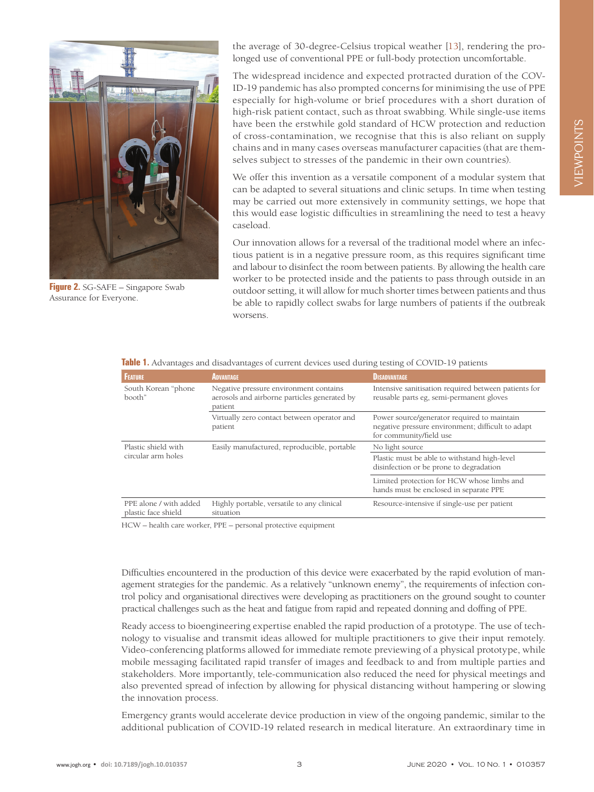<span id="page-2-0"></span>

**Figure 2.** SG-SAFE – Singapore Swab Assurance for Everyone.

the average of 30-degree-Celsius tropical weather [[13\]](#page-3-12), rendering the prolonged use of conventional PPE or full-body protection uncomfortable.

The widespread incidence and expected protracted duration of the COV-ID-19 pandemic has also prompted concerns for minimising the use of PPE especially for high-volume or brief procedures with a short duration of high-risk patient contact, such as throat swabbing. While single-use items have been the erstwhile gold standard of HCW protection and reduction of cross-contamination, we recognise that this is also reliant on supply chains and in many cases overseas manufacturer capacities (that are themselves subject to stresses of the pandemic in their own countries).

We offer this invention as a versatile component of a modular system that can be adapted to several situations and clinic setups. In time when testing may be carried out more extensively in community settings, we hope that this would ease logistic difficulties in streamlining the need to test a heavy caseload.

Our innovation allows for a reversal of the traditional model where an infectious patient is in a negative pressure room, as this requires significant time and labour to disinfect the room between patients. By allowing the health care worker to be protected inside and the patients to pass through outside in an outdoor setting, it will allow for much shorter times between patients and thus be able to rapidly collect swabs for large numbers of patients if the outbreak worsens.

| <b>FEATURE</b>                                | <b>ADVANTAGE</b>                                                                                  | <b>DISADVANTAGE</b>                                                                                                         |
|-----------------------------------------------|---------------------------------------------------------------------------------------------------|-----------------------------------------------------------------------------------------------------------------------------|
| South Korean "phone"<br>booth"                | Negative pressure environment contains<br>aerosols and airborne particles generated by<br>patient | Intensive sanitisation required between patients for<br>reusable parts eg, semi-permanent gloves                            |
|                                               | Virtually zero contact between operator and<br>patient                                            | Power source/generator required to maintain<br>negative pressure environment; difficult to adapt<br>for community/field use |
| Plastic shield with<br>circular arm holes     | Easily manufactured, reproducible, portable                                                       | No light source                                                                                                             |
|                                               |                                                                                                   | Plastic must be able to withstand high-level<br>disinfection or be prone to degradation                                     |
|                                               |                                                                                                   | Limited protection for HCW whose limbs and<br>hands must be enclosed in separate PPE                                        |
| PPE alone / with added<br>plastic face shield | Highly portable, versatile to any clinical<br>situation                                           | Resource-intensive if single-use per patient                                                                                |

<span id="page-2-1"></span>**Table 1.** Advantages and disadvantages of current devices used during testing of COVID-19 patients

HCW – health care worker, PPE – personal protective equipment

Difficulties encountered in the production of this device were exacerbated by the rapid evolution of management strategies for the pandemic. As a relatively "unknown enemy", the requirements of infection control policy and organisational directives were developing as practitioners on the ground sought to counter practical challenges such as the heat and fatigue from rapid and repeated donning and doffing of PPE.

Ready access to bioengineering expertise enabled the rapid production of a prototype. The use of technology to visualise and transmit ideas allowed for multiple practitioners to give their input remotely. Video-conferencing platforms allowed for immediate remote previewing of a physical prototype, while mobile messaging facilitated rapid transfer of images and feedback to and from multiple parties and stakeholders. More importantly, tele-communication also reduced the need for physical meetings and also prevented spread of infection by allowing for physical distancing without hampering or slowing the innovation process.

Emergency grants would accelerate device production in view of the ongoing pandemic, similar to the additional publication of COVID-19 related research in medical literature. An extraordinary time in